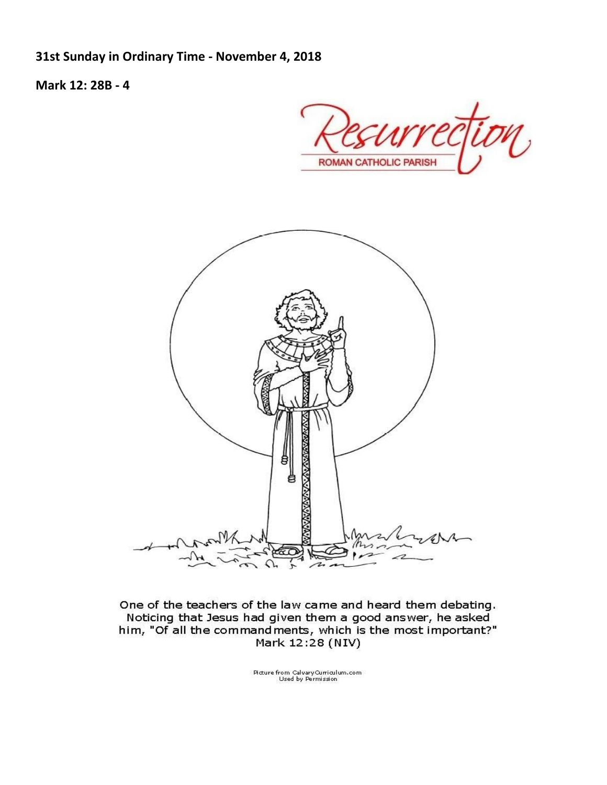**31st Sunday in Ordinary Time - November 4, 2018**

**Mark 12: 28B - 4**

ROMAN CATHOLIC PARISH



One of the teachers of the law came and heard them debating. Noticing that Jesus had given them a good answer, he asked him, "Of all the command ments, which is the most important?" Mark 12:28 (NIV)

Mcture from CalvaryQurriculum.com<br>Used by Permission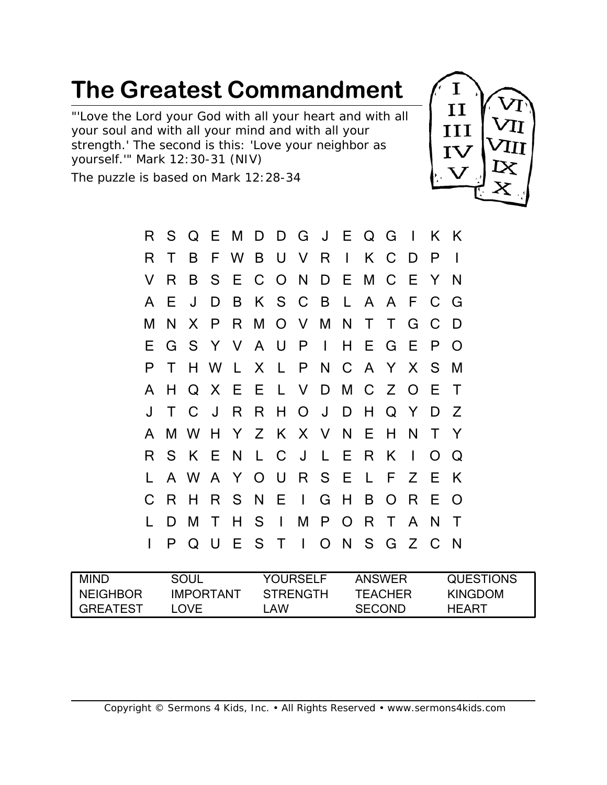"'Love the Lord your God with all your heart and with all your soul and with all your mind and with all your strength.' The second is this: 'Love your neighbor as yourself.'" Mark 12:30-31 (NIV)

The puzzle is based on Mark 12:28-34



| R  | S. |              |        | Q E M D D G J E Q G I     |    |          |                |                |              |     |              |                |               | K K          |
|----|----|--------------|--------|---------------------------|----|----------|----------------|----------------|--------------|-----|--------------|----------------|---------------|--------------|
| R  |    | B            |        | F W B U V R               |    |          |                |                | $\mathbf{1}$ |     | K C          | D              | P             |              |
| V  | R  | B            |        | S E C O N D E M C E       |    |          |                |                |              |     |              |                | Y             | N            |
| A  | E. | J            | D      |                           |    |          | B K S C B L    |                |              |     | A A F        |                | $\mathsf{C}$  | G            |
| Μ  | N  |              |        | X P R M O V M N T         |    |          |                |                |              |     | $\mathsf{T}$ | G              | $\mathsf{C}$  | D            |
| E. |    |              |        | G S Y V A U P I           |    |          |                |                |              |     | H E G E      |                | P             | $\Omega$     |
| P  | T  |              |        | H W L X L P N C A Y X S M |    |          |                |                |              |     |              |                |               |              |
| A  | Н  |              |        | Q X E E L V D M C Z       |    |          |                |                |              |     |              | $\Omega$       | E             | T            |
|    | T  | $\mathsf{C}$ | J      |                           |    |          | R R H O        | $\mathsf{J}^-$ |              |     | D H Q Y      |                | D             | Z            |
| A  |    |              |        | M W H Y Z K X V N E       |    |          |                |                |              |     | H N          |                | T.            | -Y           |
| R  |    | SKEN         |        |                           |    |          | L C J          | $\mathsf{L}$   |              | E R | K            | $\blacksquare$ | O             | $\Omega$     |
|    |    |              |        | A W A Y O U R S E L F Z   |    |          |                |                |              |     |              |                | E             | K            |
| C  | R. | H            |        | R S N E I G H             |    |          |                |                |              | B   | O R          |                | Е             | $\Omega$     |
|    | D  | M            | T      | H.                        |    | $S \mid$ |                |                | MPOR         |     | $\mathsf{T}$ | $\mathsf{A}$   | N             | T            |
| I  | P  | Q            | $\cup$ | E.                        | S. | $\top$   | $\mathbb{R}^n$ |                |              |     | O N S G Z    |                | $\mathcal{C}$ | $\mathsf{N}$ |

| <b>MIND</b>     | soul             | <b>YOURSELF</b> | <b>ANSWER</b> | <b>QUESTIONS</b> |
|-----------------|------------------|-----------------|---------------|------------------|
| <b>NEIGHBOR</b> | <b>IMPORTANT</b> | <b>STRENGTH</b> | TEACHER       | KINGDOM          |
| <b>GREATEST</b> | <b>OVE</b>       | .AW             | <b>SECOND</b> | HFART            |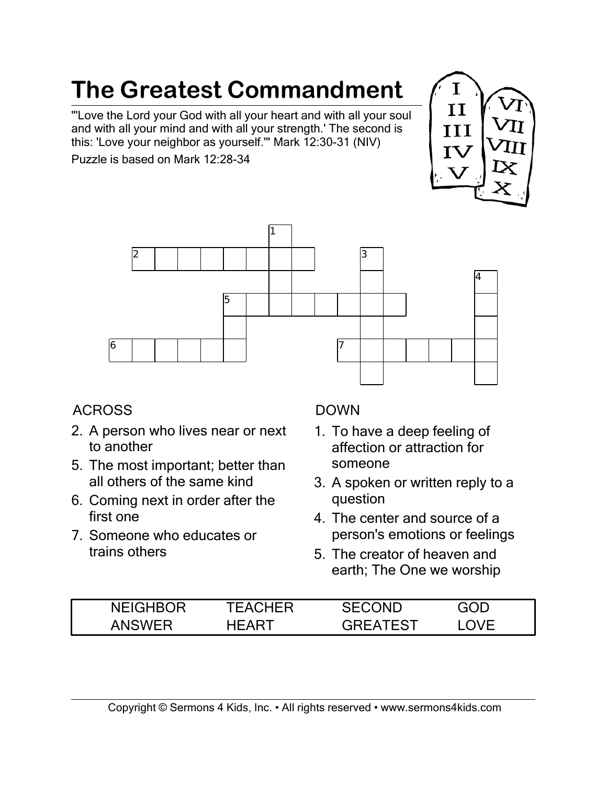"'Love the Lord your God with all your heart and with all your soul and with all your mind and with all your strength.' The second is this: 'Love your neighbor as yourself.'" Mark 12:30-31 (NIV)

Puzzle is based on Mark 12:28-34





### ACROSS

- 2. A person who lives near or next to another
- 5. The most important; better than all others of the same kind
- 6. Coming next in order after the first one
- 7. Someone who educates or trains others

#### DOWN

- 1. To have a deep feeling of affection or attraction for someone
- 3. A spoken or written reply to a question
- 4. The center and source of a person's emotions or feelings
- 5. The creator of heaven and earth; The One we worship

| <b>NEIGHBOR</b> | TEACHER | <b>COND</b><br>SFC: | GOD |
|-----------------|---------|---------------------|-----|
|                 |         | GRFATFST            |     |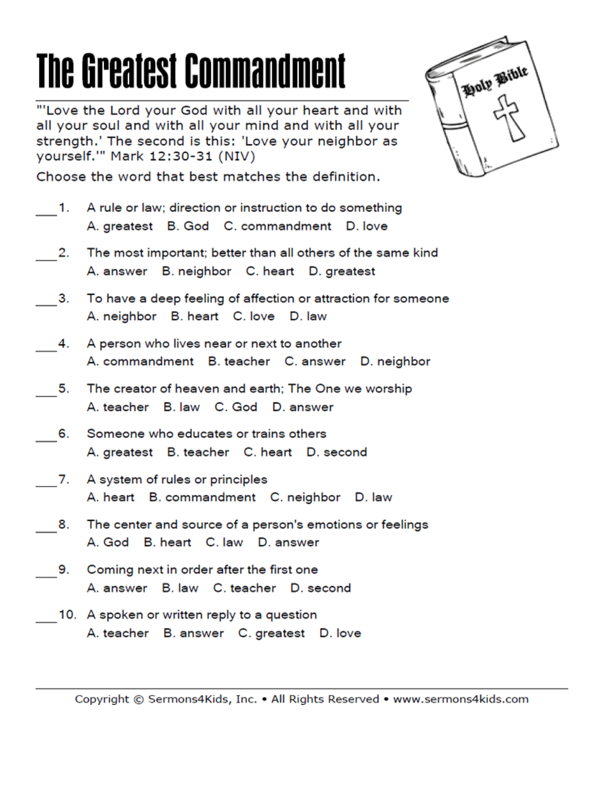"'Love the Lord your God with all your heart and with all your soul and with all your mind and with all your strength.' The second is this: 'Love your neighbor as yourself."" Mark 12:30-31 (NIV)

Choose the word that best matches the definition.

- A rule or law; direction or instruction to do something  $-1.$ A. greatest B. God C. commandment D. love
- 2. The most important; better than all others of the same kind A. answer B. neighbor C. heart D. greatest
- 3. To have a deep feeling of affection or attraction for someone A. neighbor B. heart C. love D. law
- A person who lives near or next to another 4. A. commandment B. teacher C. answer D. neighbor
- The creator of heaven and earth; The One we worship 5. A teacher B law C God D answer
- Someone who educates or trains others 6. A. greatest B. teacher C. heart D. second
- 7. A system of rules or principles A. heart B. commandment C. neighbor D. law
- 8. The center and source of a person's emotions or feelings A God B heart C law D answer
- Coming next in order after the first one 9. A. answer B. law C. teacher D. second
	- 10. A spoken or written reply to a question A. teacher B. answer C. greatest D. love

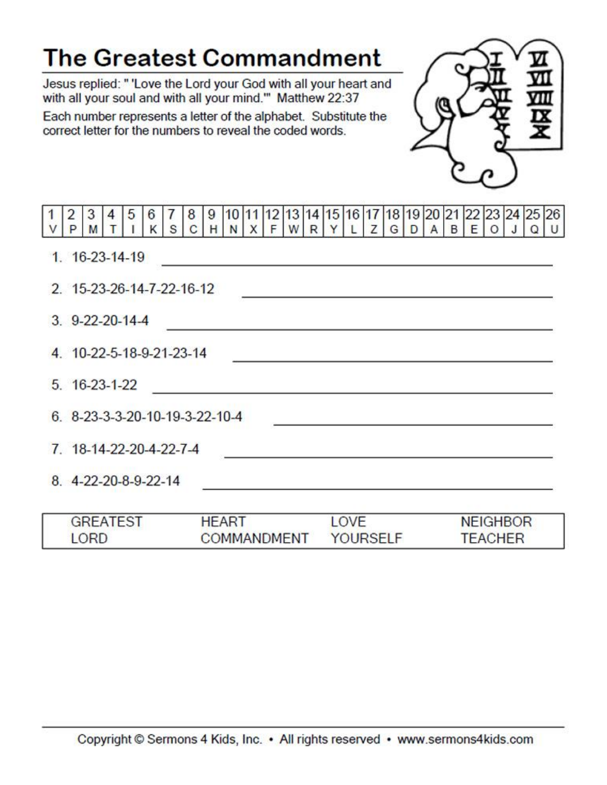Jesus replied: " 'Love the Lord your God with all your heart and with all your soul and with all your mind." Matthew 22:37

Each number represents a letter of the alphabet. Substitute the correct letter for the numbers to reveal the coded words.

LORD



**TEACHER** 

| $\overline{2}$<br>3            | 4   5   6   7   | S <sub>1</sub>                                                                  | 8 9 10 11 12 13 14 15 16 17 18 19 20 21 22 23 24 25 26<br>C H N X F W R Y L Z G D A B E O J Q U |              |  |  |      |  |  |                                                                                                                                                                                                                               |  |  |
|--------------------------------|-----------------|---------------------------------------------------------------------------------|-------------------------------------------------------------------------------------------------|--------------|--|--|------|--|--|-------------------------------------------------------------------------------------------------------------------------------------------------------------------------------------------------------------------------------|--|--|
| $1.16 - 23 - 14 - 19$          |                 |                                                                                 |                                                                                                 |              |  |  |      |  |  | <u> 1989 - Johann Barn, mars and de Brasilian (b. 1989)</u>                                                                                                                                                                   |  |  |
| 2. 15-23-26-14-7-22-16-12      |                 |                                                                                 |                                                                                                 |              |  |  |      |  |  | <u> 1989 - Johann Stein, marwolaethau a bhann an t-Amhair an t-Amhair an t-Amhair an t-Amhair an t-Amhair an t-A</u>                                                                                                          |  |  |
| $3.9 - 22 - 20 - 14 - 4$       |                 |                                                                                 |                                                                                                 |              |  |  |      |  |  | the control of the control of the control of the control of the control of the control of the control of the control of the control of the control of the control of the control of the control of the control of the control |  |  |
| 4. 10-22-5-18-9-21-23-14       |                 |                                                                                 |                                                                                                 |              |  |  |      |  |  | the control of the control of the control of the control of the control of the control of                                                                                                                                     |  |  |
| $5.16 - 23 - 1 - 22$           |                 | <u> 1989 - Andrea Andrew Maria (h. 1989).</u><br>1905 - Andrew Maria (h. 1906). |                                                                                                 |              |  |  |      |  |  |                                                                                                                                                                                                                               |  |  |
| 6. 8-23-3-3-20-10-19-3-22-10-4 |                 |                                                                                 |                                                                                                 |              |  |  |      |  |  |                                                                                                                                                                                                                               |  |  |
| 7. 18-14-22-20-4-22-7-4        |                 |                                                                                 |                                                                                                 |              |  |  |      |  |  | <u> 1980 - John Stein, Amerikaansk politiker († 1908)</u>                                                                                                                                                                     |  |  |
| 8. 4-22-20-8-9-22-14           |                 |                                                                                 |                                                                                                 |              |  |  |      |  |  |                                                                                                                                                                                                                               |  |  |
|                                | <b>GREATEST</b> |                                                                                 |                                                                                                 | <b>HEART</b> |  |  | LOVE |  |  | <b>NEIGHBOR</b>                                                                                                                                                                                                               |  |  |

**YOURSELF** 

**COMMANDMENT**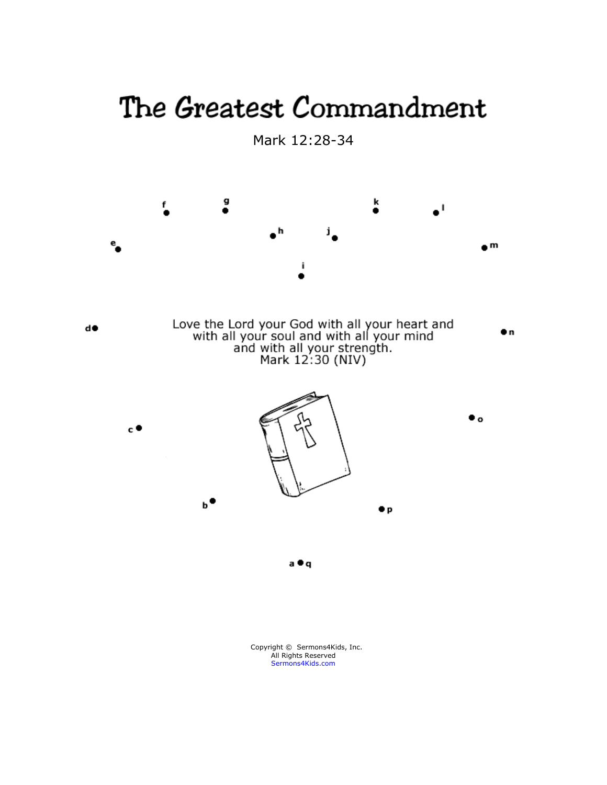Mark 12:28-34

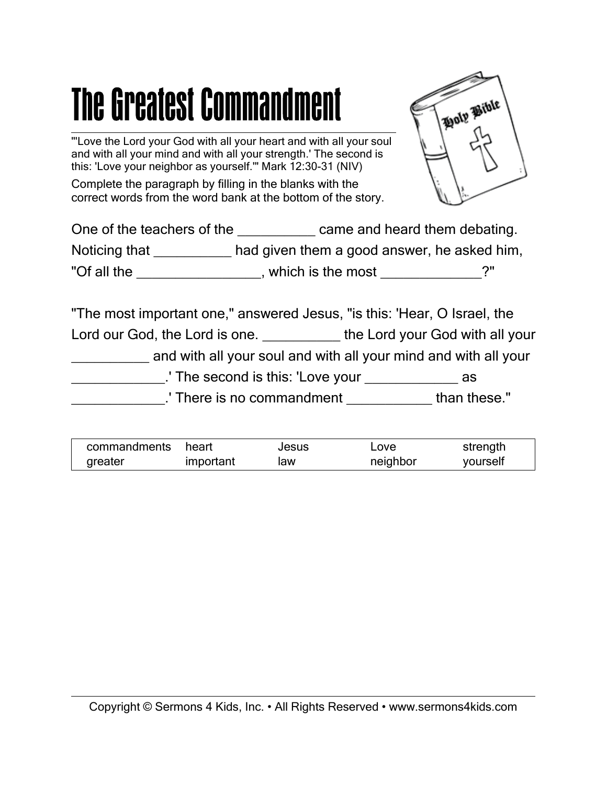"'Love the Lord your God with all your heart and with all your soul and with all your mind and with all your strength.' The second is this: 'Love your neighbor as yourself.'" Mark 12:30-31 (NIV)

Complete the paragraph by filling in the blanks with the correct words from the word bank at the bottom of the story.



| One of the teachers of the | came and heard them debating.               |     |
|----------------------------|---------------------------------------------|-----|
| Noticing that              | had given them a good answer, he asked him, |     |
| "Of all the                | which is the most                           | ′'? |

"The most important one," answered Jesus, "is this: 'Hear, O Israel, the Lord our God, the Lord is one. \_\_\_\_\_\_\_\_\_\_\_ the Lord your God with all your and with all your soul and with all your mind and with all your \_\_\_\_\_\_\_\_\_\_\_\_.' The second is this: 'Love your \_\_\_\_\_\_\_\_\_\_\_\_ as \_\_\_\_\_\_\_\_\_\_\_\_.' There is no commandment \_\_\_\_\_\_\_\_\_\_\_ than these."

| commandments | heart     | Jesus | ∟ove     | strength |
|--------------|-----------|-------|----------|----------|
| greater      | important | law   | neighbor | yourself |